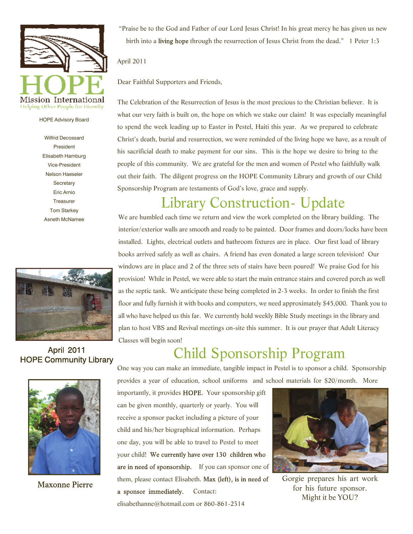

#### HOPE Advisory Board

Wilfrid Decossard President Elisabeth Hamburg Vice-President Nelson Haeseler **Secretary** Eric Arnio **Treasurer** Tom Starkey Asneth McNamee



**April 2011 HOPE Community Library** 



**Maxonne Pierre** 

"Praise be to the God and Father of our Lord Jesus Christ! In his great mercy he has given us new birth into a living hope through the resurrection of Jesus Christ from the dead." 1 Peter 1:3

#### April 2011

Dear Faithful Supporters and Friends,

The Celebration of the Resurrection of Jesus is the most precious to the Christian believer. It is what our very faith is built on, the hope on which we stake our claim! It was especially meaningful to spend the week leading up to Easter in Pestel, Haiti this year. As we prepared to celebrate Christ's death, burial and resurrection, we were reminded of the living hope we have, as a result of his sacrificial death to make payment for our sins. This is the hope we desire to bring to the people of this community. We are grateful for the men and women of Pestel who faithfully walk out their faith. The diligent progress on the HOPE Community Library and growth of our Child Sponsorship Program are testaments of God's love, grace and supply.

## Library Construction- Update

We are humbled each time we return and view the work completed on the library building. The interior/exterior walls are smooth and ready to be painted. Door frames and doors/locks have been installed. Lights, electrical outlets and bathroom fixtures are in place. Our first load of library books arrived safely as well as chairs. A friend has even donated a large screen television! Our windows are in place and 2 of the three sets of stairs have been poured! We praise God for his provision! While in Pestel, we were able to start the main entrance stairs and covered porch as well as the septic tank. We anticipate these being completed in 2-3 weeks. In order to finish the first floor and fully furnish it with books and computers, we need approximately \$45,000. Thank you to all who have helped us this far. We currently hold weekly Bible Study meetings in the library and plan to host VBS and Revival meetings on-site this summer. It is our prayer that Adult Literacy Classes will begin soon!

# Child Sponsorship Program

One way you can make an immediate, tangible impact in Pestel is to sponsor a child. Sponsorship provides a year of education, school uniforms and school materials for \$20/month. More

importantly, it provides HOPE. Your sponsorship gift can be given monthly, quarterly or yearly. You will receive a sponsor packet including a picture of your child and his/her biographical information. Perhaps one day, you will be able to travel to Pestel to meet your child! We currently have over 130 children who are in need of sponsorship. If you can sponsor one of them, please contact Elisabeth. Max (left), is in need of a sponsor immediately. Contact: elisabethanne@hotmail.com or 860-861-2314



Gorgie prepares his art work for his future sponsor. Might it be YOU?